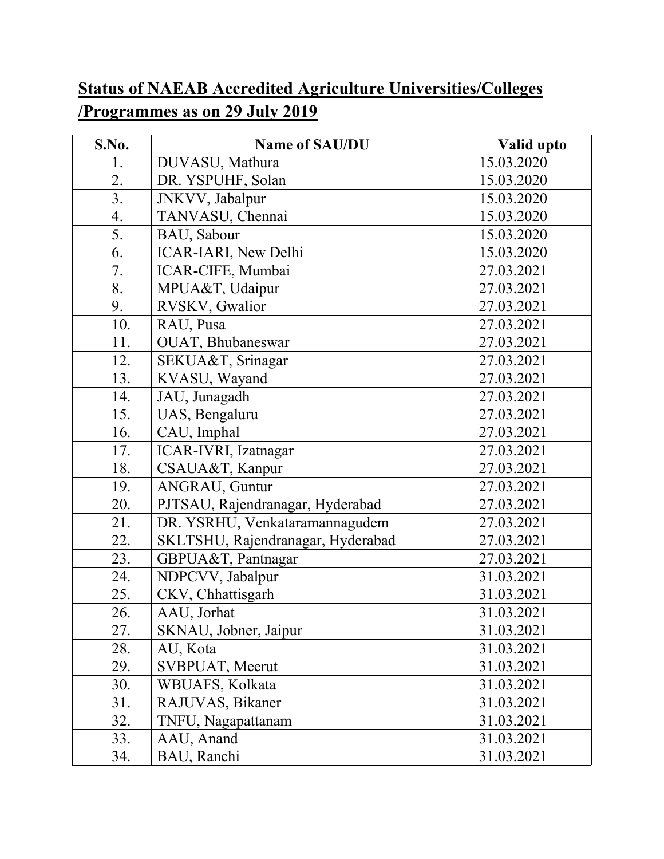## **Status of NAEAB Accredited Agriculture Universities/Colleges /Programmes as on 29 July 2019**

| S.No. | Name of SAU/DU                    | Valid upto |
|-------|-----------------------------------|------------|
| 1.    | DUVASU, Mathura                   | 15.03.2020 |
| 2.    | DR. YSPUHF, Solan                 | 15.03.2020 |
| 3.    | JNKVV, Jabalpur                   | 15.03.2020 |
| 4.    | TANVASU, Chennai                  | 15.03.2020 |
| 5.    | BAU, Sabour                       | 15.03.2020 |
| 6.    | ICAR-IARI, New Delhi              | 15.03.2020 |
| 7.    | ICAR-CIFE, Mumbai                 | 27.03.2021 |
| 8.    | MPUA&T, Udaipur                   | 27.03.2021 |
| 9.    | RVSKV, Gwalior                    | 27.03.2021 |
| 10.   | RAU, Pusa                         | 27.03.2021 |
| 11.   | OUAT, Bhubaneswar                 | 27.03.2021 |
| 12.   | SEKUA&T, Srinagar                 | 27.03.2021 |
| 13.   | KVASU, Wayand                     | 27.03.2021 |
| 14.   | JAU, Junagadh                     | 27.03.2021 |
| 15.   | UAS, Bengaluru                    | 27.03.2021 |
| 16.   | CAU, Imphal                       | 27.03.2021 |
| 17.   | ICAR-IVRI, Izatnagar              | 27.03.2021 |
| 18.   | CSAUA&T, Kanpur                   | 27.03.2021 |
| 19.   | ANGRAU, Guntur                    | 27.03.2021 |
| 20.   | PJTSAU, Rajendranagar, Hyderabad  | 27.03.2021 |
| 21.   | DR. YSRHU, Venkataramannagudem    | 27.03.2021 |
| 22.   | SKLTSHU, Rajendranagar, Hyderabad | 27.03.2021 |
| 23.   | GBPUA&T, Pantnagar                | 27.03.2021 |
| 24.   | NDPCVV, Jabalpur                  | 31.03.2021 |
| 25.   | CKV, Chhattisgarh                 | 31.03.2021 |
| 26.   | AAU, Jorhat                       | 31.03.2021 |
| 27.   | SKNAU, Jobner, Jaipur             | 31.03.2021 |
| 28.   | AU, Kota                          | 31.03.2021 |
| 29.   | SVBPUAT, Meerut                   | 31.03.2021 |
| 30.   | WBUAFS, Kolkata                   | 31.03.2021 |
| 31.   | RAJUVAS, Bikaner                  | 31.03.2021 |
| 32.   | TNFU, Nagapattanam                | 31.03.2021 |
| 33.   | AAU, Anand                        | 31.03.2021 |
| 34.   | BAU, Ranchi                       | 31.03.2021 |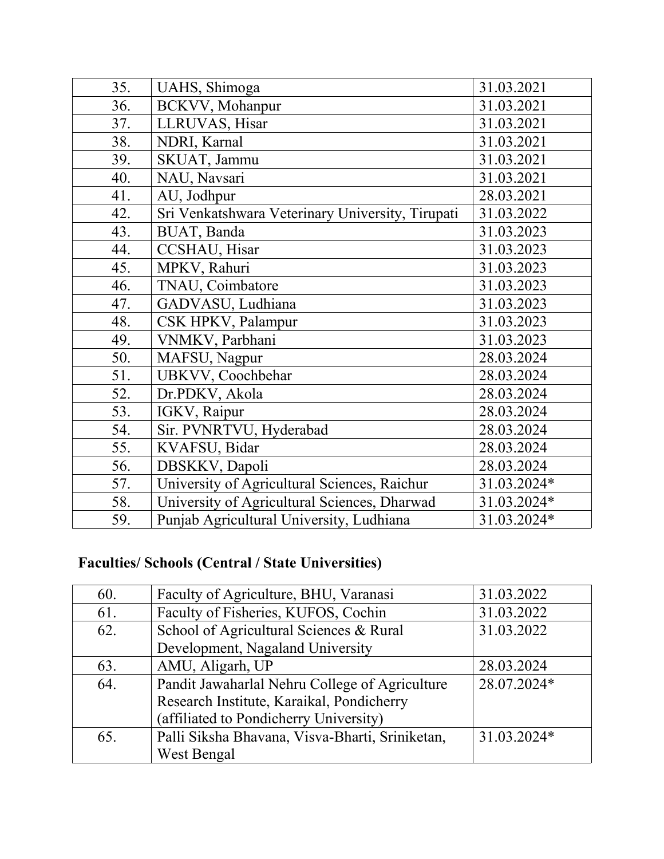| 35. | UAHS, Shimoga                                    | 31.03.2021  |
|-----|--------------------------------------------------|-------------|
| 36. | BCKVV, Mohanpur                                  | 31.03.2021  |
| 37. | LLRUVAS, Hisar                                   | 31.03.2021  |
| 38. | NDRI, Karnal                                     | 31.03.2021  |
| 39. | SKUAT, Jammu                                     | 31.03.2021  |
| 40. | NAU, Navsari                                     | 31.03.2021  |
| 41. | AU, Jodhpur                                      | 28.03.2021  |
| 42. | Sri Venkatshwara Veterinary University, Tirupati | 31.03.2022  |
| 43. | BUAT, Banda                                      | 31.03.2023  |
| 44. | CCSHAU, Hisar                                    | 31.03.2023  |
| 45. | MPKV, Rahuri                                     | 31.03.2023  |
| 46. | TNAU, Coimbatore                                 | 31.03.2023  |
| 47. | GADVASU, Ludhiana                                | 31.03.2023  |
| 48. | CSK HPKV, Palampur                               | 31.03.2023  |
| 49. | VNMKV, Parbhani                                  | 31.03.2023  |
| 50. | MAFSU, Nagpur                                    | 28.03.2024  |
| 51. | UBKVV, Coochbehar                                | 28.03.2024  |
| 52. | Dr.PDKV, Akola                                   | 28.03.2024  |
| 53. | IGKV, Raipur                                     | 28.03.2024  |
| 54. | Sir. PVNRTVU, Hyderabad                          | 28.03.2024  |
| 55. | KVAFSU, Bidar                                    | 28.03.2024  |
| 56. | DBSKKV, Dapoli                                   | 28.03.2024  |
| 57. | University of Agricultural Sciences, Raichur     | 31.03.2024* |
| 58. | University of Agricultural Sciences, Dharwad     | 31.03.2024* |
| 59. | Punjab Agricultural University, Ludhiana         | 31.03.2024* |
|     |                                                  |             |

## **Faculties/ Schools (Central / State Universities)**

| 60. | Faculty of Agriculture, BHU, Varanasi           | 31.03.2022  |
|-----|-------------------------------------------------|-------------|
| 61. | Faculty of Fisheries, KUFOS, Cochin             | 31.03.2022  |
| 62. | School of Agricultural Sciences & Rural         | 31.03.2022  |
|     | Development, Nagaland University                |             |
| 63. | AMU, Aligarh, UP                                | 28.03.2024  |
| 64. | Pandit Jawaharlal Nehru College of Agriculture  | 28.07.2024* |
|     | Research Institute, Karaikal, Pondicherry       |             |
|     | (affiliated to Pondicherry University)          |             |
| 65. | Palli Siksha Bhavana, Visva-Bharti, Sriniketan, | 31.03.2024* |
|     | West Bengal                                     |             |